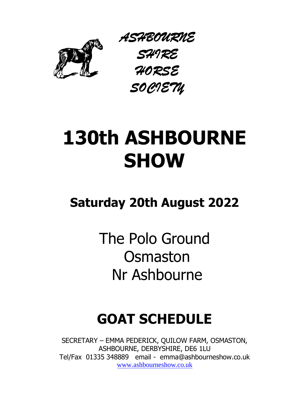

*ASHBOURNE SHIRE HORSE SOCIETY*

# **130th ASHBOURNE SHOW**

## **Saturday 20th August 2022**

The Polo Ground **Osmaston** Nr Ashbourne

## **GOAT SCHEDULE**

SECRETARY – EMMA PEDERICK, QUILOW FARM, OSMASTON, ASHBOURNE, DERBYSHIRE, DE6 1LU Tel/Fax 01335 348889 email - emma@ashbourneshow.co.uk [www.ashbourneshow.co.uk](http://www.ashbourneshow.co.uk/)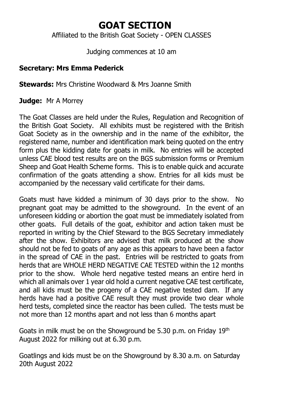## **GOAT SECTION**

Affiliated to the British Goat Society - OPEN CLASSES

Judging commences at 10 am

### **Secretary: Mrs Emma Pederick**

**Stewards:** Mrs Christine Woodward & Mrs Joanne Smith

**Judge:** Mr A Morrey

The Goat Classes are held under the Rules, Regulation and Recognition of the British Goat Society. All exhibits must be registered with the British Goat Society as in the ownership and in the name of the exhibitor, the registered name, number and identification mark being quoted on the entry form plus the kidding date for goats in milk. No entries will be accepted unless CAE blood test results are on the BGS submission forms or Premium Sheep and Goat Health Scheme forms. This is to enable quick and accurate confirmation of the goats attending a show. Entries for all kids must be accompanied by the necessary valid certificate for their dams.

Goats must have kidded a minimum of 30 days prior to the show. No pregnant goat may be admitted to the showground. In the event of an unforeseen kidding or abortion the goat must be immediately isolated from other goats. Full details of the goat, exhibitor and action taken must be reported in writing by the Chief Steward to the BGS Secretary immediately after the show. Exhibitors are advised that milk produced at the show should not be fed to goats of any age as this appears to have been a factor in the spread of CAE in the past. Entries will be restricted to goats from herds that are WHOLE HERD NEGATIVE CAE TESTED within the 12 months prior to the show. Whole herd negative tested means an entire herd in which all animals over 1 year old hold a current negative CAE test certificate, and all kids must be the progeny of a CAE negative tested dam. If any herds have had a positive CAE result they must provide two clear whole herd tests, completed since the reactor has been culled. The tests must be not more than 12 months apart and not less than 6 months apart

Goats in milk must be on the Showground be 5.30 p.m. on Friday 19th August 2022 for milking out at 6.30 p.m.

Goatlings and kids must be on the Showground by 8.30 a.m. on Saturday 20th August 2022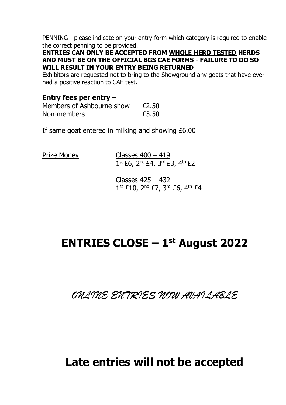PENNING - please indicate on your entry form which category is required to enable the correct penning to be provided.

**ENTRIES CAN ONLY BE ACCEPTED FROM WHOLE HERD TESTED HERDS AND MUST BE ON THE OFFICIAL BGS CAE FORMS - FAILURE TO DO SO WILL RESULT IN YOUR ENTRY BEING RETURNED**

Exhibitors are requested not to bring to the Showground any goats that have ever had a positive reaction to CAE test.

#### **Entry fees per entry** –

| Members of Ashbourne show | £2.50 |
|---------------------------|-------|
| Non-members               | £3.50 |

If same goat entered in milking and showing £6.00

Prize Money Classes 400 – 419 1 st £6, 2nd £4, 3rd £3, 4th £2

> Classes 425 – 432 1<sup>st</sup> £10, 2<sup>nd</sup> £7, 3<sup>rd</sup> £6, 4<sup>th</sup> £4

## **ENTRIES CLOSE – 1 st August 2022**

*ONLINE ENTRIES NOW AVAILABLE*

## **Late entries will not be accepted**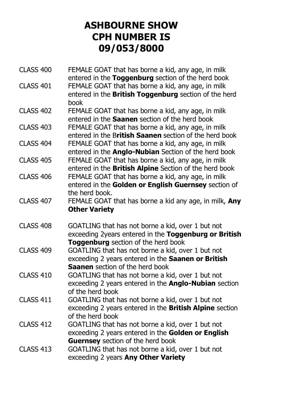## **ASHBOURNE SHOW CPH NUMBER IS 09/053/8000**

| <b>CLASS 400</b> | FEMALE GOAT that has borne a kid, any age, in milk           |
|------------------|--------------------------------------------------------------|
|                  | entered in the Toggenburg section of the herd book           |
| <b>CLASS 401</b> | FEMALE GOAT that has borne a kid, any age, in milk           |
|                  | entered in the British Toggenburg section of the herd        |
|                  | book                                                         |
| <b>CLASS 402</b> | FEMALE GOAT that has borne a kid, any age, in milk           |
|                  | entered in the Saanen section of the herd book               |
| <b>CLASS 403</b> | FEMALE GOAT that has borne a kid, any age, in milk           |
|                  | entered in the British Saanen section of the herd book       |
| <b>CLASS 404</b> | FEMALE GOAT that has borne a kid, any age, in milk           |
|                  | entered in the <b>Anglo-Nubian</b> Section of the herd book  |
| <b>CLASS 405</b> | FEMALE GOAT that has borne a kid, any age, in milk           |
|                  | entered in the British Alpine Section of the herd book       |
| <b>CLASS 406</b> | FEMALE GOAT that has borne a kid, any age, in milk           |
|                  | entered in the Golden or English Guernsey section of         |
|                  | the herd book.                                               |
| <b>CLASS 407</b> | FEMALE GOAT that has borne a kid any age, in milk, Any       |
|                  | <b>Other Variety</b>                                         |
|                  |                                                              |
| <b>CLASS 408</b> | GOATLING that has not borne a kid, over 1 but not            |
|                  | exceeding 2years entered in the Toggenburg or British        |
|                  | Toggenburg section of the herd book                          |
| <b>CLASS 409</b> | GOATLING that has not borne a kid, over 1 but not            |
|                  | exceeding 2 years entered in the Saanen or British           |
|                  | Saanen section of the herd book                              |
| <b>CLASS 410</b> | GOATLING that has not borne a kid, over 1 but not            |
|                  | exceeding 2 years entered in the <b>Anglo-Nubian</b> section |
|                  | of the herd book                                             |
| <b>CLASS 411</b> | GOATLING that has not borne a kid, over 1 but not            |
|                  | exceeding 2 years entered in the British Alpine section      |
|                  | of the herd book                                             |
| <b>CLASS 412</b> | GOATLING that has not borne a kid, over 1 but not            |
|                  | exceeding 2 years entered in the Golden or English           |
|                  | Guernsey section of the herd book                            |
| <b>CLASS 413</b> | GOATLING that has not borne a kid, over 1 but not            |
|                  | exceeding 2 years Any Other Variety                          |
|                  |                                                              |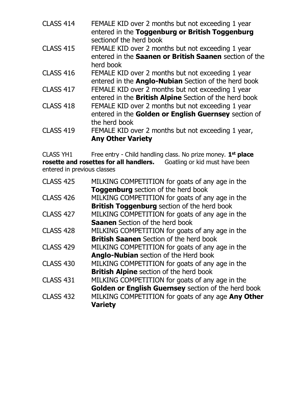| CLASS 414 | FEMALE KID over 2 months but not exceeding 1 year |
|-----------|---------------------------------------------------|
|           | entered in the Toggenburg or British Toggenburg   |
|           | sectionof the herd book                           |

- CLASS 415 FEMALE KID over 2 months but not exceeding 1 year entered in the **Saanen or British Saanen** section of the herd book
- CLASS 416 FEMALE KID over 2 months but not exceeding 1 year entered in the **Anglo-Nubian** Section of the herd book CLASS 417 FEMALE KID over 2 months but not exceeding 1 year
- entered in the **British Alpine** Section of the herd book
- CLASS 418 FEMALE KID over 2 months but not exceeding 1 year entered in the **Golden or English Guernsey** section of the herd book
- CLASS 419 FEMALE KID over 2 months but not exceeding 1 year, **Any Other Variety**

CLASS YH1 Free entry - Child handling class. No prize money. **1 st place rosette and rosettes for all handlers.** Goatling or kid must have been entered in previous classes

| MILKING COMPETITION for goats of any age in the     |
|-----------------------------------------------------|
| Toggenburg section of the herd book                 |
| MILKING COMPETITION for goats of any age in the     |
| <b>British Toggenburg</b> section of the herd book  |
| MILKING COMPETITION for goats of any age in the     |
| <b>Saanen</b> Section of the herd book              |
| MILKING COMPETITION for goats of any age in the     |
| <b>British Saanen</b> Section of the herd book      |
| MILKING COMPETITION for goats of any age in the     |
| Anglo-Nubian section of the Herd book               |
| MILKING COMPETITION for goats of any age in the     |
| <b>British Alpine</b> section of the herd book      |
| MILKING COMPETITION for goats of any age in the     |
| Golden or English Guernsey section of the herd book |
| MILKING COMPETITION for goats of any age Any Other  |
| <b>Variety</b>                                      |
|                                                     |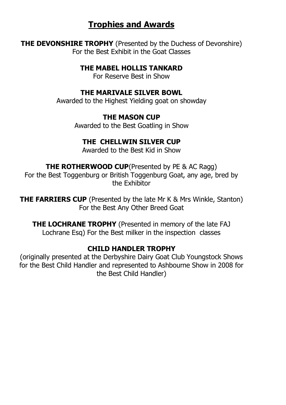## **Trophies and Awards**

**THE DEVONSHIRE TROPHY** (Presented by the Duchess of Devonshire) For the Best Exhibit in the Goat Classes

**THE MAREL HOLLIS TANKARD** 

For Reserve Best in Show

#### **THE MARIVALE SILVER BOWL**

Awarded to the Highest Yielding goat on showday

#### **THE MASON CUP**

Awarded to the Best Goatling in Show

#### **THE CHELLWIN SILVER CUP**

Awarded to the Best Kid in Show

**THE ROTHERWOOD CUP**(Presented by PE & AC Ragg) For the Best Toggenburg or British Toggenburg Goat, any age, bred by the Exhibitor

**THE FARRIERS CUP** (Presented by the late Mr K & Mrs Winkle, Stanton) For the Best Any Other Breed Goat

**THE LOCHRANE TROPHY** (Presented in memory of the late FAJ Lochrane Esq) For the Best milker in the inspection classes

#### **CHILD HANDLER TROPHY**

(originally presented at the Derbyshire Dairy Goat Club Youngstock Shows for the Best Child Handler and represented to Ashbourne Show in 2008 for the Best Child Handler)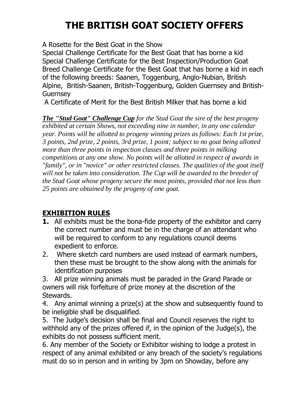## **THE BRITISH GOAT SOCIETY OFFERS**

A Rosette for the Best Goat in the Show

Special Challenge Certificate for the Best Goat that has borne a kid Special Challenge Certificate for the Best Inspection/Production Goat Breed Challenge Certificate for the Best Goat that has borne a kid in each of the following breeds: Saanen, Toggenburg, Anglo-Nubian, British Alpine, British-Saanen, British-Toggenburg, Golden Guernsey and British-Guernsey

A Certificate of Merit for the Best British Milker that has borne a kid

*The "Stud Goat" Challenge Cup for the Stud Goat the sire of the best progeny exhibited at certain Shows, not exceeding nine in number, in any one calendar year. Points will be allotted to progeny winning prizes as follows: Each 1st prize, 3 points, 2nd prize, 2 points, 3rd prize, 1 point; subject to no goat being allotted more than three points in inspection classes and three points in milking competitions at any one show. No points will be allotted in respect of awards in "family", or in "novice" or other restricted classes. The qualities of the goat itself will not be taken into consideration. The Cup will be awarded to the breeder of the Stud Goat whose progeny secure the most points, provided that not less than 25 points are obtained by the progeny of one goat.*

### **EXHIBITION RULES**

- **1.** All exhibits must be the bona-fide property of the exhibitor and carry the correct number and must be in the charge of an attendant who will be required to conform to any requlations council deems expedient to enforce.
- 2. Where sketch card numbers are used instead of earmark numbers, then these must be brought to the show along with the animals for identification purposes

3. All prize winning animals must be paraded in the Grand Parade or owners will risk forfeiture of prize money at the discretion of the Stewards.

4. Any animal winning a prize(s) at the show and subsequently found to be ineligible shall be disqualified.

5. The Judge's decision shall be final and Council reserves the right to withhold any of the prizes offered if, in the opinion of the Judge(s), the exhibits do not possess sufficient merit.

6. Any member of the Society or Exhibitor wishing to lodge a protest in respect of any animal exhibited or any breach of the society's regulations must do so in person and in writing by 3pm on Showday, before any